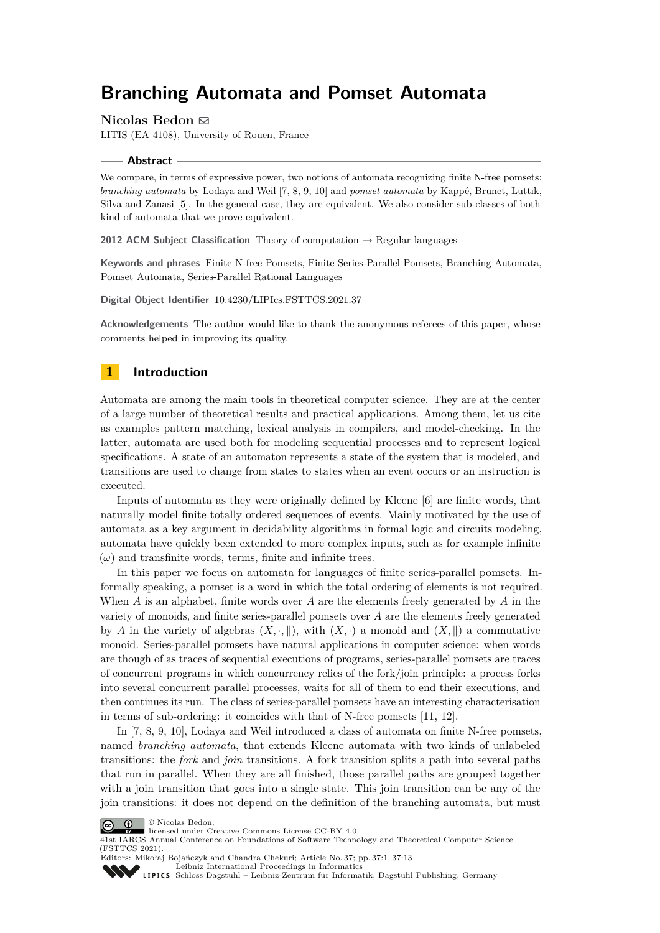# **Branching Automata and Pomset Automata**

## **Nicolas Bedon** ⊠

LITIS (EA 4108), University of Rouen, France

#### **Abstract**

We compare, in terms of expressive power, two notions of automata recognizing finite N-free pomsets: *branching automata* by Lodaya and Weil [\[7,](#page-12-0) [8,](#page-12-1) [9,](#page-12-2) [10\]](#page-12-3) and *pomset automata* by Kappé, Brunet, Luttik, Silva and Zanasi [\[5\]](#page-12-4). In the general case, they are equivalent. We also consider sub-classes of both kind of automata that we prove equivalent.

**2012 ACM Subject Classification** Theory of computation → Regular languages

**Keywords and phrases** Finite N-free Pomsets, Finite Series-Parallel Pomsets, Branching Automata, Pomset Automata, Series-Parallel Rational Languages

**Digital Object Identifier** [10.4230/LIPIcs.FSTTCS.2021.37](https://doi.org/10.4230/LIPIcs.FSTTCS.2021.37)

**Acknowledgements** The author would like to thank the anonymous referees of this paper, whose comments helped in improving its quality.

# **1 Introduction**

Automata are among the main tools in theoretical computer science. They are at the center of a large number of theoretical results and practical applications. Among them, let us cite as examples pattern matching, lexical analysis in compilers, and model-checking. In the latter, automata are used both for modeling sequential processes and to represent logical specifications. A state of an automaton represents a state of the system that is modeled, and transitions are used to change from states to states when an event occurs or an instruction is executed.

Inputs of automata as they were originally defined by Kleene [\[6\]](#page-12-5) are finite words, that naturally model finite totally ordered sequences of events. Mainly motivated by the use of automata as a key argument in decidability algorithms in formal logic and circuits modeling, automata have quickly been extended to more complex inputs, such as for example infinite  $(\omega)$  and transfinite words, terms, finite and infinite trees.

In this paper we focus on automata for languages of finite series-parallel pomsets. Informally speaking, a pomset is a word in which the total ordering of elements is not required. When *A* is an alphabet, finite words over *A* are the elements freely generated by *A* in the variety of monoids, and finite series-parallel pomsets over *A* are the elements freely generated by *A* in the variety of algebras  $(X, \cdot, \|)$ , with  $(X, \cdot)$  a monoid and  $(X, \|)$  a commutative monoid. Series-parallel pomsets have natural applications in computer science: when words are though of as traces of sequential executions of programs, series-parallel pomsets are traces of concurrent programs in which concurrency relies of the fork/join principle: a process forks into several concurrent parallel processes, waits for all of them to end their executions, and then continues its run. The class of series-parallel pomsets have an interesting characterisation in terms of sub-ordering: it coincides with that of N-free pomsets [\[11,](#page-12-6) [12\]](#page-12-7).

In [\[7,](#page-12-0) [8,](#page-12-1) [9,](#page-12-2) [10\]](#page-12-3), Lodaya and Weil introduced a class of automata on finite N-free pomsets, named *branching automata*, that extends Kleene automata with two kinds of unlabeled transitions: the *fork* and *join* transitions. A fork transition splits a path into several paths that run in parallel. When they are all finished, those parallel paths are grouped together with a join transition that goes into a single state. This join transition can be any of the join transitions: it does not depend on the definition of the branching automata, but must





41st IARCS Annual Conference on Foundations of Software Technology and Theoretical Computer Science (FSTTCS 2021).

Editors: Mikołaj Bojańczyk and Chandra Chekuri; Article No. 37; pp. 37:1–37:13

[Leibniz International Proceedings in Informatics](https://www.dagstuhl.de/lipics/)

[Schloss Dagstuhl – Leibniz-Zentrum für Informatik, Dagstuhl Publishing, Germany](https://www.dagstuhl.de)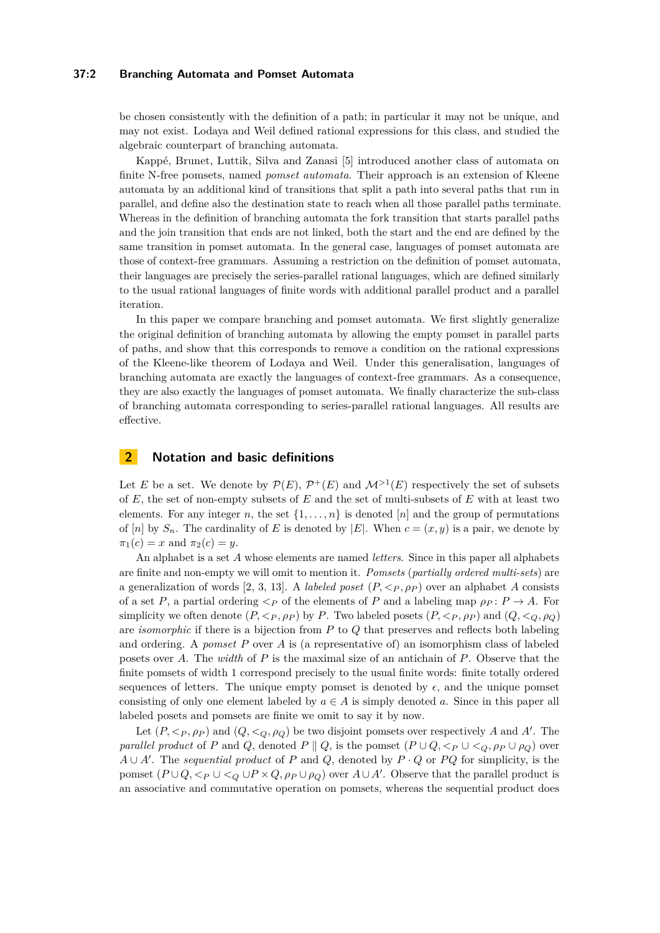## **37:2 Branching Automata and Pomset Automata**

be chosen consistently with the definition of a path; in particular it may not be unique, and may not exist. Lodaya and Weil defined rational expressions for this class, and studied the algebraic counterpart of branching automata.

Kappé, Brunet, Luttik, Silva and Zanasi [\[5\]](#page-12-4) introduced another class of automata on finite N-free pomsets, named *pomset automata*. Their approach is an extension of Kleene automata by an additional kind of transitions that split a path into several paths that run in parallel, and define also the destination state to reach when all those parallel paths terminate. Whereas in the definition of branching automata the fork transition that starts parallel paths and the join transition that ends are not linked, both the start and the end are defined by the same transition in pomset automata. In the general case, languages of pomset automata are those of context-free grammars. Assuming a restriction on the definition of pomset automata, their languages are precisely the series-parallel rational languages, which are defined similarly to the usual rational languages of finite words with additional parallel product and a parallel iteration.

In this paper we compare branching and pomset automata. We first slightly generalize the original definition of branching automata by allowing the empty pomset in parallel parts of paths, and show that this corresponds to remove a condition on the rational expressions of the Kleene-like theorem of Lodaya and Weil. Under this generalisation, languages of branching automata are exactly the languages of context-free grammars. As a consequence, they are also exactly the languages of pomset automata. We finally characterize the sub-class of branching automata corresponding to series-parallel rational languages. All results are effective.

# **2 Notation and basic definitions**

Let *E* be a set. We denote by  $\mathcal{P}(E)$ ,  $\mathcal{P}^+(E)$  and  $\mathcal{M}^{\geq 1}(E)$  respectively the set of subsets of *E*, the set of non-empty subsets of *E* and the set of multi-subsets of *E* with at least two elements. For any integer *n*, the set  $\{1, \ldots, n\}$  is denoted [*n*] and the group of permutations of [*n*] by  $S_n$ . The cardinality of E is denoted by  $|E|$ . When  $c = (x, y)$  is a pair, we denote by  $\pi_1(c) = x$  and  $\pi_2(c) = y$ .

An alphabet is a set *A* whose elements are named *letters*. Since in this paper all alphabets are finite and non-empty we will omit to mention it. *Pomsets* (*partially ordered multi-sets*) are a generalization of words [\[2,](#page-12-8) [3,](#page-12-9) [13\]](#page-12-10). A *labeled poset*  $(P, \langle P, \rho_P \rangle)$  over an alphabet *A* consists of a set *P*, a partial ordering  $\lt_P$  of the elements of *P* and a labeling map  $\rho_P$ :  $P \to A$ . For simplicity we often denote  $(P, \langle P, \rho_P \rangle)$  by P. Two labeled posets  $(P, \langle P, \rho_P \rangle)$  and  $(Q, \langle \rho, \rho_Q \rangle)$ are *isomorphic* if there is a bijection from *P* to *Q* that preserves and reflects both labeling and ordering. A *pomset P* over *A* is (a representative of) an isomorphism class of labeled posets over *A*. The *width* of *P* is the maximal size of an antichain of *P*. Observe that the finite pomsets of width 1 correspond precisely to the usual finite words: finite totally ordered sequences of letters. The unique empty pomset is denoted by  $\epsilon$ , and the unique pomset consisting of only one element labeled by  $a \in A$  is simply denoted a. Since in this paper all labeled posets and pomsets are finite we omit to say it by now.

Let  $(P, \langle P, \rho_P \rangle)$  and  $(Q, \langle Q, \rho_Q \rangle)$  be two disjoint pomsets over respectively *A* and *A'*. The *parallel product* of *P* and *Q*, denoted *P*  $\parallel$  *Q*, is the pomset  $(P \cup Q, \lt_P \cup \lt_Q, \rho_P \cup \rho_Q)$  over  $A \cup A'$ . The *sequential product* of *P* and *Q*, denoted by  $P \cdot Q$  or *PQ* for simplicity, is the pomset  $(P \cup Q, \leq_P \cup \leq_Q \cup P \times Q, \rho_P \cup \rho_Q)$  over  $A \cup A'$ . Observe that the parallel product is an associative and commutative operation on pomsets, whereas the sequential product does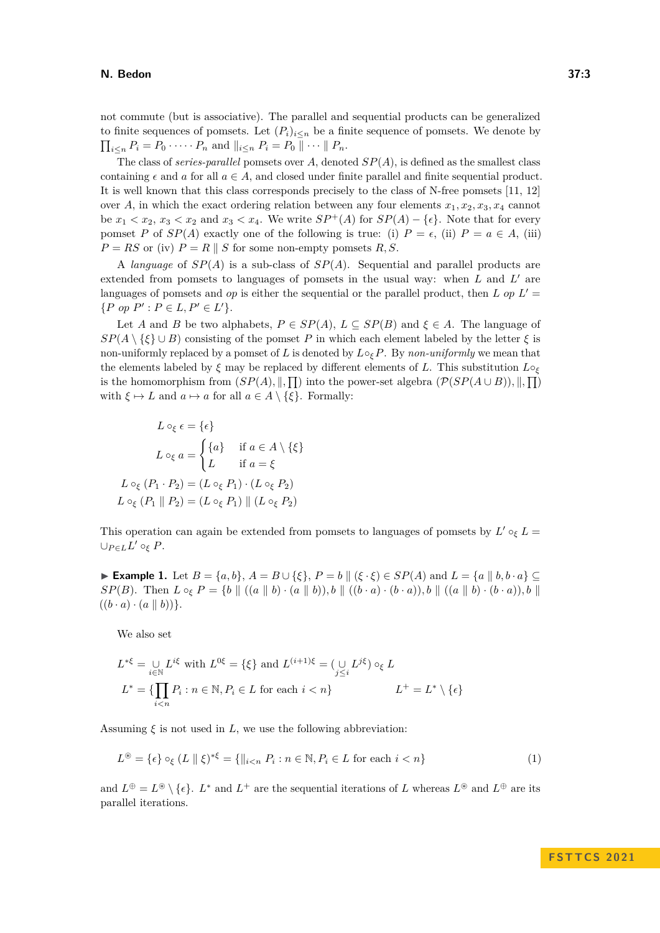## **N. Bedon 37:3**

not commute (but is associative). The parallel and sequential products can be generalized to finite sequences of pomsets. Let  $(P_i)_{i \leq n}$  be a finite sequence of pomsets. We denote by  $\prod_{i \leq n} P_i = P_0 \cdot \cdots \cdot P_n$  and  $||_{i \leq n} P_i = P_0 || \cdots || P_n$ .

The class of *series-parallel* pomsets over *A*, denoted *SP*(*A*), is defined as the smallest class containing  $\epsilon$  and *a* for all  $a \in A$ , and closed under finite parallel and finite sequential product. It is well known that this class corresponds precisely to the class of N-free pomsets [\[11,](#page-12-6) [12\]](#page-12-7) over *A*, in which the exact ordering relation between any four elements  $x_1, x_2, x_3, x_4$  cannot be  $x_1 < x_2$ ,  $x_3 < x_2$  and  $x_3 < x_4$ . We write  $SP^+(A)$  for  $SP(A) - \{\epsilon\}$ . Note that for every pomset *P* of *SP*(*A*) exactly one of the following is true: (i)  $P = \epsilon$ , (ii)  $P = a \in A$ , (iii)  $P = RS$  or (iv)  $P = R \parallel S$  for some non-empty pomsets  $R, S$ .

A *language* of *SP*(*A*) is a sub-class of *SP*(*A*). Sequential and parallel products are extended from pomsets to languages of pomsets in the usual way: when *L* and *L'* are languages of pomsets and *op* is either the sequential or the parallel product, then *L* op  $L' =$  $\{P \text{ op } P' : P \in L, P' \in L'\}.$ 

Let *A* and *B* be two alphabets,  $P \in SP(A)$ ,  $L \subseteq SP(B)$  and  $\xi \in A$ . The language of  $SP(A \setminus \{\xi\} \cup B)$  consisting of the pomset *P* in which each element labeled by the letter  $\xi$  is non-uniformly replaced by a pomset of *L* is denoted by *L*◦*ξP*. By *non-uniformly* we mean that the elements labeled by *ξ* may be replaced by different elements of *L*. This substitution *L*◦*<sup>ξ</sup>* is the homomorphism from  $(SP(A), \|, \Pi)$  into the power-set algebra  $(\mathcal{P}(SP(A \cup B)), \|, \Pi)$ with  $\xi \mapsto L$  and  $a \mapsto a$  for all  $a \in A \setminus \{\xi\}$ . Formally:

$$
L \circ_{\xi} \epsilon = \{\epsilon\}
$$
  
\n
$$
L \circ_{\xi} a = \begin{cases} \{a\} & \text{if } a \in A \setminus \{\xi\} \\ L & \text{if } a = \xi \end{cases}
$$
  
\n
$$
L \circ_{\xi} (P_1 \cdot P_2) = (L \circ_{\xi} P_1) \cdot (L \circ_{\xi} P_2)
$$
  
\n
$$
L \circ_{\xi} (P_1 \parallel P_2) = (L \circ_{\xi} P_1) \parallel (L \circ_{\xi} P_2)
$$

This operation can again be extended from pomsets to languages of pomsets by  $L' \circ_{\xi} L =$  $∪_{P∈L}L' ∘_ξ P$ .

▶ **Example 1.** Let  $B = \{a, b\}$ ,  $A = B \cup \{\xi\}$ ,  $P = b \parallel (\xi \cdot \xi) \in SP(A)$  and  $L = \{a \parallel b, b \cdot a\}$  $SP(B)$ . Then  $L \circ_{\xi} P = \{b \mid ((a \mid b) \cdot (a \mid b)), b \mid ((b \cdot a) \cdot (b \cdot a)), b \mid ((a \mid b) \cdot (b \cdot a)), b \mid$  $((b \cdot a) \cdot (a \parallel b))$ .

We also set

$$
L^{*\xi} = \bigcup_{i \in \mathbb{N}} L^{i\xi} \text{ with } L^{0\xi} = \{\xi\} \text{ and } L^{(i+1)\xi} = (\bigcup_{j \leq i} L^{j\xi}) \circ_{\xi} L
$$

$$
L^* = \{\prod_{i \leq n} P_i : n \in \mathbb{N}, P_i \in L \text{ for each } i < n\} \qquad L^+ = L^* \setminus \{\epsilon\}
$$

Assuming  $\xi$  is not used in  $L$ , we use the following abbreviation:

$$
L^{\circledast} = \{ \epsilon \} \circ_{\xi} (L \parallel \xi)^{*\xi} = \{ \parallel_{i < n} P_i : n \in \mathbb{N}, P_i \in L \text{ for each } i < n \} \tag{1}
$$

and  $L^{\oplus} = L^{\circledast} \setminus \{\epsilon\}$ .  $L^*$  and  $L^+$  are the sequential iterations of *L* whereas  $L^{\circledast}$  and  $L^{\oplus}$  are its parallel iterations.

<span id="page-2-0"></span>**F S T T C S 2 0 2 1**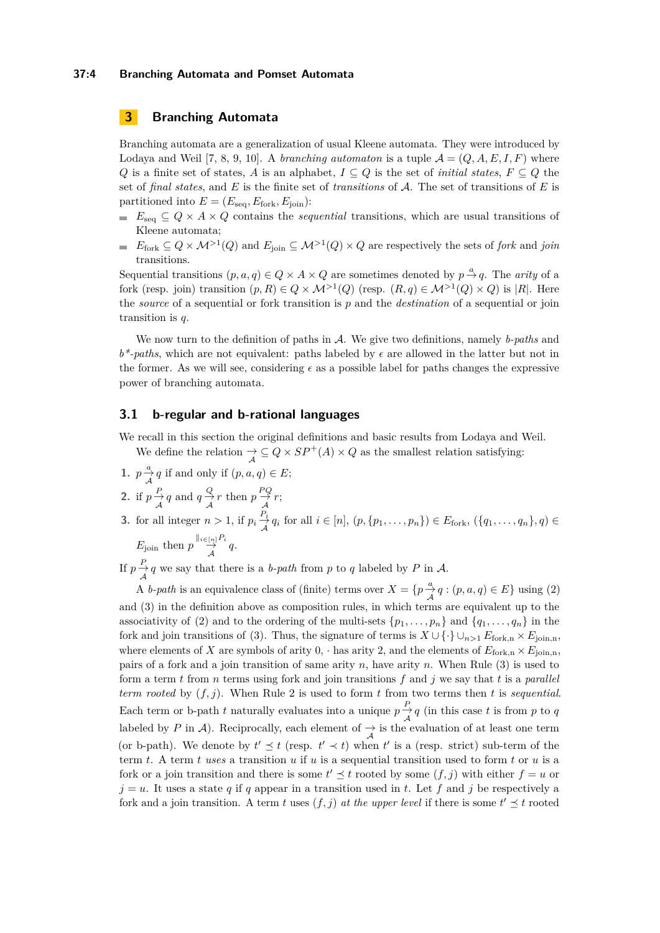## **37:4 Branching Automata and Pomset Automata**

# **3 Branching Automata**

Branching automata are a generalization of usual Kleene automata. They were introduced by Lodaya and Weil [\[7,](#page-12-0) [8,](#page-12-1) [9,](#page-12-2) [10\]](#page-12-3). A *branching automaton* is a tuple  $\mathcal{A} = (Q, A, E, I, F)$  where *Q* is a finite set of states, *A* is an alphabet,  $I \subseteq Q$  is the set of *initial states*,  $F \subseteq Q$  the set of *final states*, and *E* is the finite set of *transitions* of A. The set of transitions of *E* is partitioned into  $E = (E_{\text{seq}}, E_{\text{fork}}, E_{\text{join}})$ :

- *E*<sub>seq</sub>  $\subseteq$   $Q \times A \times Q$  contains the *sequential* transitions, which are usual transitions of Kleene automata;
- $E_{\text{fork}} \subseteq Q \times \mathcal{M}^{>1}(Q)$  and  $E_{\text{join}} \subseteq \mathcal{M}^{>1}(Q) \times Q$  are respectively the sets of *fork* and *join*  $\sim$ transitions.

Sequential transitions  $(p, a, q) \in Q \times A \times Q$  are sometimes denoted by  $p \stackrel{a}{\rightarrow} q$ . The *arity* of a fork (resp. join) transition  $(p, R) \in Q \times M^{>1}(Q)$  (resp.  $(R, q) \in M^{>1}(Q) \times Q$ ) is |R|. Here the *source* of a sequential or fork transition is *p* and the *destination* of a sequential or join transition is *q*.

We now turn to the definition of paths in A. We give two definitions, namely *b-paths* and *b\*-paths*, which are not equivalent: paths labeled by *ϵ* are allowed in the latter but not in the former. As we will see, considering  $\epsilon$  as a possible label for paths changes the expressive power of branching automata.

# <span id="page-3-2"></span>**3.1 b-regular and b-rational languages**

We recall in this section the original definitions and basic results from Lodaya and Weil.

We define the relation  $\frac{A}{A} \subseteq Q \times SP^+(A) \times Q$  as the smallest relation satisfying:

- **1.**  $p \frac{a}{\mathcal{A}} q$  if and only if  $(p, a, q) \in E$ ;
- <span id="page-3-0"></span>2. if  $p \stackrel{P}{\rightarrow} q$  and  $q \stackrel{Q}{\rightarrow} r$  then  $p \stackrel{PQ}{\rightarrow} r$ ;  $A$   $A$   $A$   $A$
- <span id="page-3-1"></span>**3.** for all integer  $n > 1$ , if  $p_i \frac{P_i}{A}$  $\frac{A}{A}$ <sup>*i*</sup>  $q$ <sup>*i*</sup> for all *i* ∈ [*n*], (*p*, {*p*<sub>1</sub>*, . . . , p<sub>n</sub>*}) ∈ *E*<sub>fork</sub>, ({*q*<sub>1</sub>*, . . . , q<sub>n</sub>*}*, q*) ∈

$$
E_{\text{join}} \text{ then } p \stackrel{\parallel_{i \in [n]} P_i}{\to} q.
$$

If  $p \frac{P}{A} q$  we say that there is a *b-path* from *p* to *q* labeled by *P* in *A*.

A *b*-path is an equivalence class of (finite) terms over  $X = \{p \frac{a}{\mathcal{A}} q : (p, a, q) \in E\}$  using [\(2\)](#page-3-0) and [\(3\)](#page-3-1) in the definition above as composition rules, in which terms are equivalent up to the associativity of [\(2\)](#page-3-0) and to the ordering of the multi-sets  $\{p_1, \ldots, p_n\}$  and  $\{q_1, \ldots, q_n\}$  in the fork and join transitions of [\(3\)](#page-3-1). Thus, the signature of terms is  $X \cup \{\cdot\} \cup_{n>1} E_{\text{fork},n} \times E_{\text{join},n}$ where elements of *X* are symbols of arity 0, · has arity 2, and the elements of  $E_{\text{fork,n}} \times E_{\text{join,n}}$ , pairs of a fork and a join transition of same arity *n*, have arity *n*. When Rule [\(3\)](#page-3-1) is used to form a term *t* from *n* terms using fork and join transitions *f* and *j* we say that *t* is a *parallel term rooted* by (*f, j*). When Rule [2](#page-3-0) is used to form *t* from two terms then *t* is *sequential*. Each term or b-path *t* naturally evaluates into a unique  $p \frac{P}{A} q$  (in this case *t* is from *p* to *q* labeled by *P* in *A*). Reciprocally, each element of  $\rightarrow$  is the evaluation of at least one term (or b-path). We denote by  $t' \leq t$  (resp.  $t' \prec t$ ) when  $t'$  is a (resp. strict) sub-term of the term *t*. A term *t uses* a transition *u* if *u* is a sequential transition used to form *t* or *u* is a fork or a join transition and there is some  $t' \leq t$  rooted by some  $(f, j)$  with either  $f = u$  or  $j = u$ . It uses a state *q* if *q* appear in a transition used in *t*. Let *f* and *j* be respectively a fork and a join transition. A term *t* uses  $(f, j)$  at the upper level if there is some  $t' \preceq t$  rooted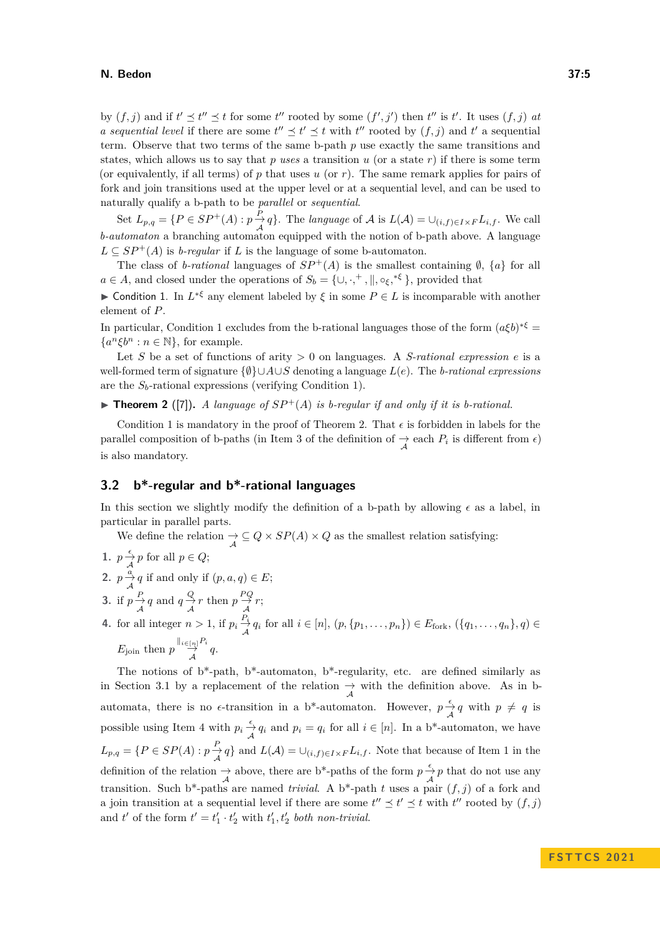## **N. Bedon 37:5**

by  $(f, j)$  and if  $t' \leq t'' \leq t$  for some  $t''$  rooted by some  $(f', j')$  then  $t''$  is  $t'$ . It uses  $(f, j)$  at *a sequential level* if there are some  $t'' \leq t' \leq t$  with  $t''$  rooted by  $(f, j)$  and  $t'$  a sequential term. Observe that two terms of the same b-path *p* use exactly the same transitions and states, which allows us to say that  $p$  *uses* a transition  $u$  (or a state  $r$ ) if there is some term (or equivalently, if all terms) of *p* that uses *u* (or *r*). The same remark applies for pairs of fork and join transitions used at the upper level or at a sequential level, and can be used to naturally qualify a b-path to be *parallel* or *sequential*.

Set  $L_{p,q} = \{P \in SP^+(A) : p \to q\}$ . The *language* of A is  $L(\mathcal{A}) = \bigcup_{(i,f) \in I \times F} L_{i,f}$ . We call *b-automaton* a branching automaton equipped with the notion of b-path above. A language  $L \subseteq SP^+(A)$  is *b-regular* if *L* is the language of some b-automaton.

The class of *b-rational* languages of  $SP^+(A)$  is the smallest containing  $\emptyset$ ,  $\{a\}$  for all  $a \in A$ , and closed under the operations of  $S_b = \{ \cup, \cdot,^+, \|, \circ_{\xi},^{*,\xi} \}$ , provided that

<span id="page-4-0"></span>**► Condition 1.** In  $L^{* \xi}$  any element labeled by  $\xi$  in some  $P \in L$  is incomparable with another element of *P*.

In particular, Condition [1](#page-4-0) excludes from the b-rational languages those of the form  $(a\xi b)^{* \xi} =$  ${a^n \xi b^n : n \in \mathbb{N}}$ , for example.

Let *S* be a set of functions of arity  $> 0$  on languages. A *S-rational expression e* is a well-formed term of signature {∅}∪*A*∪*S* denoting a language *L*(*e*). The *b-rational expressions* are the *Sb*-rational expressions (verifying Condition [1\)](#page-4-0).

<span id="page-4-1"></span> $\triangleright$  **Theorem 2** ([\[7\]](#page-12-0)). A language of  $SP^+(A)$  is b-regular if and only if it is b-rational.

Condition [1](#page-4-0) is mandatory in the proof of Theorem [2.](#page-4-1) That  $\epsilon$  is forbidden in labels for the parallel composition of b-paths (in Item [3](#page-3-1) of the definition of  $\rightarrow$  each  $P_i$  is different from  $\epsilon$ ) is also mandatory.

# **3.2 b\*-regular and b\*-rational languages**

In this section we slightly modify the definition of a b-path by allowing  $\epsilon$  as a label, in particular in parallel parts.

We define the relation  $\frac{A}{A} \subseteq Q \times SP(A) \times Q$  as the smallest relation satisfying:

<span id="page-4-3"></span>**1.**  $p \frac{\epsilon}{\mathcal{A}} p$  for all  $p \in Q$ ; **2.**  $p \frac{a}{\mathcal{A}} q$  if and only if  $(p, a, q) \in E$ ; **3.** if  $p \xrightarrow{P} q$  and  $q \xrightarrow{Q} r$  then  $p \xrightarrow{PQ} r$ ; **4.** for all integer  $n > 1$ , if  $p_i \frac{P_i}{\lambda}$  $\frac{A}{A}$ <sup>*i*</sup>  $q$ <sup>*i*</sup> for all *i* ∈ [*n*], (*p*, {*p*<sub>1</sub>*, . . . , p<sub><i>n*</sub></sub>}) ∈ *E*<sub>fork</sub>, ({*q*<sub>1</sub>*, . . . , q<sub><i>n*</sub>}</sub>, *q*) ∈  $E_{\text{join}}$  then  $p \frac{\parallel_{i \in [n]} P_i}{\overrightarrow{A}} q$ .

<span id="page-4-4"></span><span id="page-4-2"></span>The notions of  $b^*$ -path,  $b^*$ -automaton,  $b^*$ -regularity, etc. are defined similarly as in Section [3.1](#page-3-2) by a replacement of the relation  $\rightarrow \atop \mathcal{A}$  with the definition above. As in bautomata, there is no  $\epsilon$ -transition in a b<sup>\*</sup>-automaton. However,  $p \frac{\epsilon}{\lambda} q$  with  $p \neq q$  is possible using Item [4](#page-4-2) with  $p_i \frac{\epsilon}{\mathcal{A}} q_i$  and  $p_i = q_i$  for all  $i \in [n]$ . In a b\*-automaton, we have  $L_{p,q} = \{P \in SP(A) : p \frac{P}{A} q\}$  and  $L(A) = \bigcup_{(i,f) \in I \times F} L_{i,f}$ . Note that because of Item [1](#page-4-3) in the definition of the relation  $\rightarrow$  above, there are b<sup>\*</sup>-paths of the form  $p \frac{\epsilon}{\mathcal{A}} p$  that do not use any transition. Such b<sup>\*</sup>-paths are named *trivial*. A b<sup>\*</sup>-path *t* uses a pair  $(f, j)$  of a fork and a join transition at a sequential level if there are some  $t'' \leq t' \leq t$  with  $t''$  rooted by  $(f, j)$ and  $t'$  of the form  $t' = t'_1 \cdot t'_2$  with  $t'_1, t'_2$  both non-trivial.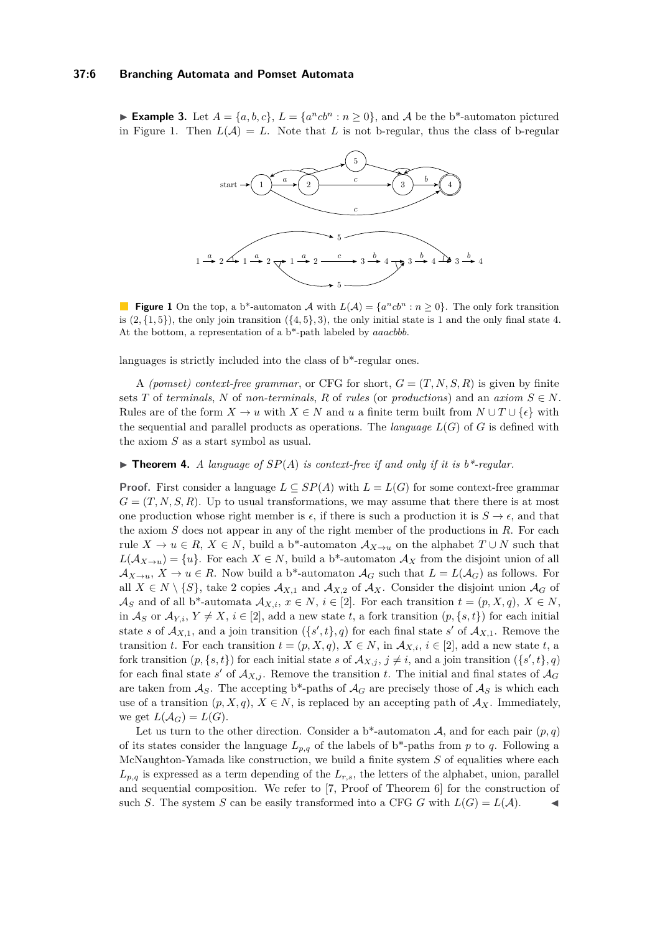## **37:6 Branching Automata and Pomset Automata**

<span id="page-5-0"></span>▶ **Example 3.** Let  $A = \{a, b, c\}$ ,  $L = \{a^ncb^n : n \ge 0\}$ , and  $A$  be the b\*-automaton pictured in Figure [1.](#page-5-0) Then  $L(A) = L$ . Note that L is not b-regular, thus the class of b-regular



**Figure 1** On the top, a b<sup>\*</sup>-automaton A with  $L(A) = \{a^n cb^n : n \ge 0\}$ . The only fork transition is  $(2,\{1,5\})$ , the only join transition  $(\{4,5\},3)$ , the only initial state is 1 and the only final state 4. At the bottom, a representation of a b\*-path labeled by *aaacbbb*.

languages is strictly included into the class of b\*-regular ones.

A *(pomset) context-free grammar*, or CFG for short,  $G = (T, N, S, R)$  is given by finite sets *T* of *terminals*, *N* of *non-terminals*, *R* of *rules* (or *productions*) and an *axiom*  $S \in N$ . Rules are of the form  $X \to u$  with  $X \in N$  and  $u$  a finite term built from  $N \cup T \cup \{\epsilon\}$  with the sequential and parallel products as operations. The *language*  $L(G)$  of *G* is defined with the axiom *S* as a start symbol as usual.

## <span id="page-5-1"></span> $\blacktriangleright$  **Theorem 4.** *A language of*  $SP(A)$  *is context-free if and only if it is b\*-regular.*

**Proof.** First consider a language  $L \subseteq SP(A)$  with  $L = L(G)$  for some context-free grammar  $G = (T, N, S, R)$ . Up to usual transformations, we may assume that there there is at most one production whose right member is  $\epsilon$ , if there is such a production it is  $S \to \epsilon$ , and that the axiom *S* does not appear in any of the right member of the productions in *R*. For each rule  $X \to u \in R$ ,  $X \in N$ , build a b<sup>\*</sup>-automaton  $\mathcal{A}_{X \to u}$  on the alphabet  $T \cup N$  such that  $L(\mathcal{A}_{X\to u}) = \{u\}$ . For each  $X \in N$ , build a b<sup>\*</sup>-automaton  $\mathcal{A}_X$  from the disjoint union of all  $\mathcal{A}_{X\to u}$ ,  $X\to u\in R$ . Now build a b<sup>\*</sup>-automaton  $\mathcal{A}_G$  such that  $L=L(\mathcal{A}_G)$  as follows. For all  $X \in N \setminus \{S\}$ , take 2 copies  $\mathcal{A}_{X,1}$  and  $\mathcal{A}_{X,2}$  of  $\mathcal{A}_{X}$ . Consider the disjoint union  $\mathcal{A}_{G}$  of  $\mathcal{A}_S$  and of all b<sup>\*</sup>-automata  $\mathcal{A}_{X,i}$ ,  $x \in N$ ,  $i \in [2]$ . For each transition  $t = (p, X, q)$ ,  $X \in N$ , in  $\mathcal{A}_S$  or  $\mathcal{A}_{Y,i}, Y \neq X, i \in [2]$ , add a new state *t*, a fork transition  $(p, \{s, t\})$  for each initial state *s* of  $\mathcal{A}_{X,1}$ , and a join transition  $(\{s',t\},q)$  for each final state *s'* of  $\mathcal{A}_{X,1}$ . Remove the transition *t*. For each transition  $t = (p, X, q), X \in N$ , in  $\mathcal{A}_{X,i}, i \in [2]$ , add a new state *t*, a fork transition  $(p, \{s, t\})$  for each initial state *s* of  $\mathcal{A}_{X, j}$ ,  $j \neq i$ , and a join transition  $(\{s', t\}, q)$ for each final state *s'* of  $A_{X,j}$ . Remove the transition *t*. The initial and final states of  $A_G$ are taken from  $\mathcal{A}_S$ . The accepting b<sup>\*</sup>-paths of  $\mathcal{A}_G$  are precisely those of  $\mathcal{A}_S$  is which each use of a transition  $(p, X, q)$ ,  $X \in N$ , is replaced by an accepting path of  $\mathcal{A}_X$ . Immediately, we get  $L(A_G) = L(G)$ .

Let us turn to the other direction. Consider a b<sup>\*</sup>-automaton  $A$ , and for each pair  $(p, q)$ of its states consider the language  $L_{p,q}$  of the labels of b<sup>\*</sup>-paths from p to q. Following a McNaughton-Yamada like construction, we build a finite system *S* of equalities where each  $L_{p,q}$  is expressed as a term depending of the  $L_{r,s}$ , the letters of the alphabet, union, parallel and sequential composition. We refer to [\[7,](#page-12-0) Proof of Theorem 6] for the construction of such *S*. The system *S* can be easily transformed into a CFG *G* with  $L(G) = L(A)$ .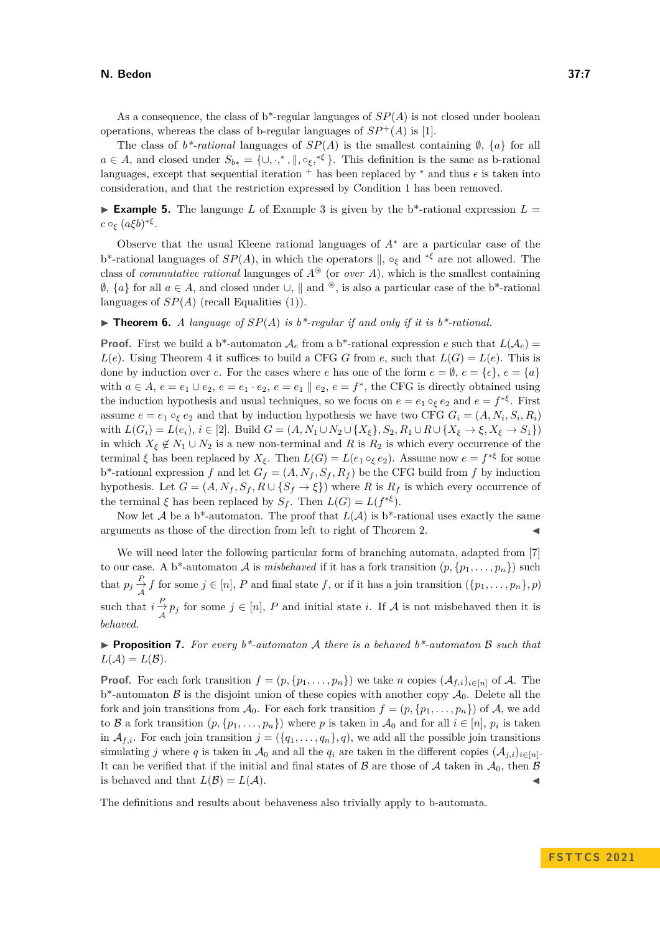## **N. Bedon 37:7**

The class of  $b^*$ -rational languages of  $SP(A)$  is the smallest containing  $\emptyset$ ,  $\{a\}$  for all  $a \in A$ , and closed under  $S_{b*} = \{ \cup, \cdot,^*, \parallel, \circ_{\xi},^{*\xi} \}$ . This definition is the same as b-rational languages, except that sequential iteration  $^+$  has been replaced by  $*$  and thus  $\epsilon$  is taken into consideration, and that the restriction expressed by Condition [1](#page-4-0) has been removed.

**Example 5.** The language L of Example [3](#page-4-4) is given by the  $b^*$ -rational expression  $L =$  $c \circ_{\xi} (a\xi b)^{*\xi}.$ 

Observe that the usual Kleene rational languages of *A*<sup>∗</sup> are a particular case of the b\*-rational languages of *SP*(*A*), in which the operators ∥, ◦*<sup>ξ</sup>* and <sup>∗</sup>*<sup>ξ</sup>* are not allowed. The class of *commutative rational* languages of  $A^*$  (or *over A*), which is the smallest containing  $\emptyset$ ,  $\{a\}$  for all  $a \in A$ , and closed under ∪,  $\parallel$  and <sup>®</sup>, is also a particular case of the b<sup>\*</sup>-rational languages of  $SP(A)$  (recall Equalities [\(1\)](#page-2-0)).

## $\triangleright$  **Theorem 6.** *A language of*  $SP(A)$  *is b\*-regular if and only if it is b\*-rational.*

**Proof.** First we build a b<sup>\*</sup>-automaton  $\mathcal{A}_e$  from a b<sup>\*</sup>-rational expression *e* such that  $L(\mathcal{A}_e)$  = *L*(*e*). Using Theorem [4](#page-5-1) it suffices to build a CFG *G* from *e*, such that  $L(G) = L(e)$ . This is done by induction over *e*. For the cases where *e* has one of the form  $e = \emptyset$ ,  $e = \{\epsilon\}$ ,  $e = \{a\}$ with  $a \in A$ ,  $e = e_1 \cup e_2$ ,  $e = e_1 \cdot e_2$ ,  $e = e_1 \parallel e_2$ ,  $e = f^*$ , the CFG is directly obtained using the induction hypothesis and usual techniques, so we focus on  $e = e_1 \circ_{\xi} e_2$  and  $e = f^{*\xi}$ . First assume  $e = e_1 \circ_{\xi} e_2$  and that by induction hypothesis we have two CFG  $G_i = (A, N_i, S_i, R_i)$ with  $L(G_i) = L(e_i), i \in [2]$ . Build  $G = (A, N_1 \cup N_2 \cup \{X_{\xi}\}, S_2, R_1 \cup R \cup \{X_{\xi} \to \xi, X_{\xi} \to S_1\})$ in which  $X_{\xi} \notin N_1 \cup N_2$  is a new non-terminal and *R* is  $R_2$  is which every occurrence of the terminal  $\xi$  has been replaced by  $X_{\xi}$ . Then  $L(G) = L(e_1 \circ_{\xi} e_2)$ . Assume now  $e = f^{*\xi}$  for some  $b^*$ -rational expression *f* and let  $G_f = (A, N_f, S_f, R_f)$  be the CFG build from *f* by induction hypothesis. Let  $G = (A, N_f, S_f, R \cup \{S_f \to \xi\})$  where *R* is  $R_f$  is which every occurrence of the terminal  $\xi$  has been replaced by  $S_f$ . Then  $L(G) = L(f^{*\xi})$ .

Now let A be a b<sup>\*</sup>-automaton. The proof that  $L(\mathcal{A})$  is b<sup>\*</sup>-rational uses exactly the same arguments as those of the direction from left to right of Theorem [2.](#page-4-1)

We will need later the following particular form of branching automata, adapted from [\[7\]](#page-12-0) to our case. A b<sup>\*</sup>-automaton A is *misbehaved* if it has a fork transition  $(p, \{p_1, \ldots, p_n\})$  such that  $p_j \frac{P}{\mathcal{A}} f$  for some  $j \in [n]$ , *P* and final state *f*, or if it has a join transition  $(\{p_1, \ldots, p_n\}, p)$ such that  $i \frac{P}{\mathcal{A}} p_j$  for some  $j \in [n]$ , *P* and initial state *i*. If *A* is not misbehaved then it is *behaved*.

<span id="page-6-0"></span>▶ **Proposition 7.** *For every b\*-automaton* A *there is a behaved b\*-automaton* B *such that*  $L(\mathcal{A}) = L(\mathcal{B})$ .

**Proof.** For each fork transition  $f = (p, \{p_1, \ldots, p_n\})$  we take *n* copies  $(A_{f,i})_{i \in [n]}$  of A. The  $b^*$ -automaton  $\beta$  is the disjoint union of these copies with another copy  $\mathcal{A}_0$ . Delete all the fork and join transitions from  $\mathcal{A}_0$ . For each fork transition  $f = (p, \{p_1, \ldots, p_n\})$  of  $\mathcal{A}$ , we add to B a fork transition  $(p, \{p_1, \ldots, p_n\})$  where p is taken in  $\mathcal{A}_0$  and for all  $i \in [n]$ ,  $p_i$  is taken in  $\mathcal{A}_{f,i}$ . For each join transition  $j = (\{q_1, \ldots, q_n\}, q)$ , we add all the possible join transitions simulating *j* where *q* is taken in  $\mathcal{A}_0$  and all the  $q_i$  are taken in the different copies  $(\mathcal{A}_{j,i})_{i \in [n]}$ . It can be verified that if the initial and final states of  $\beta$  are those of  $\mathcal A$  taken in  $\mathcal A_0$ , then  $\beta$ is behaved and that  $L(\mathcal{B}) = L(\mathcal{A})$ .

The definitions and results about behaveness also trivially apply to b-automata.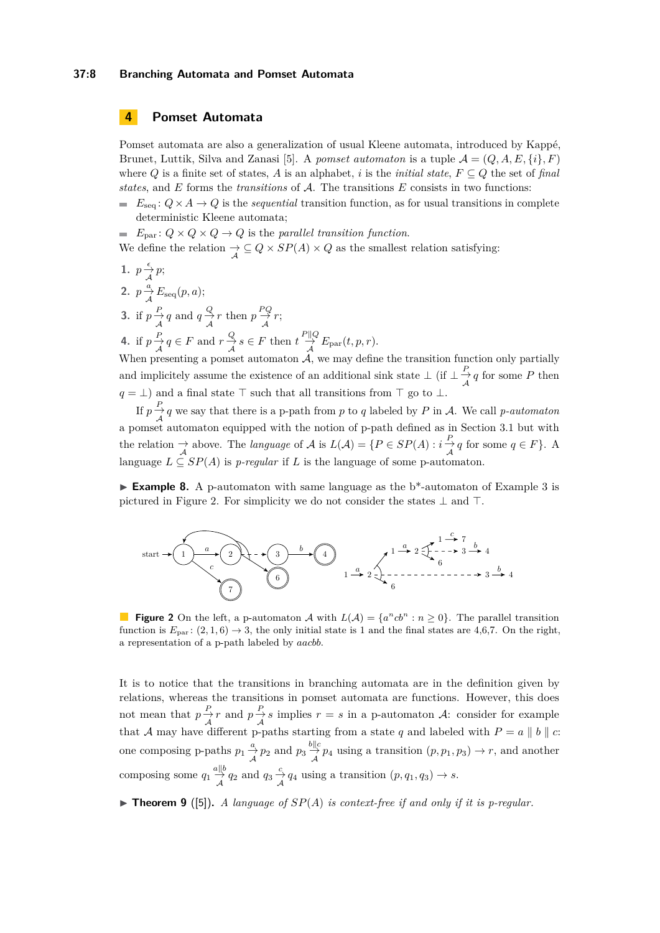## **37:8 Branching Automata and Pomset Automata**

# **4 Pomset Automata**

Pomset automata are also a generalization of usual Kleene automata, introduced by Kappé, Brunet, Luttik, Silva and Zanasi [\[5\]](#page-12-4). A *pomset automaton* is a tuple  $\mathcal{A} = (Q, A, E, \{i\}, F)$ where *Q* is a finite set of states, *A* is an alphabet, *i* is the *initial state*,  $F \subseteq Q$  the set of *final states*, and *E* forms the *transitions* of A. The transitions *E* consists in two functions:

 $E_{\text{seq}}: Q \times A \rightarrow Q$  is the *sequential* transition function, as for usual transitions in complete deterministic Kleene automata;

*E*<sub>par</sub> :  $Q \times Q \times Q \rightarrow Q$  is the *parallel transition function*. We define the relation  $\frac{A}{A} \subseteq Q \times SP(A) \times Q$  as the smallest relation satisfying:

1. 
$$
p \xrightarrow{c} p
$$
;  
\n2.  $p \xrightarrow{a} E_{seq}(p, a)$ ;  
\n3. if  $p \xrightarrow{P} q$  and  $q \xrightarrow{Q} r$  then  $p \xrightarrow{PQ} r$ ;  
\n4. if  $p \xrightarrow{P} q \in F$  and  $r \xrightarrow{Q} s \in F$  then  $t \xrightarrow{P||Q} E_{par}(t, p, r)$ .

When presenting a pomset automaton  $\overline{A}$ , we may define the transition function only partially and implicitely assume the existence of an additional sink state  $\perp$  (if  $\perp \frac{P}{A}q$  for some *P* then *q* = ⊥) and a final state  $\top$  such that all transitions from  $\top$  go to ⊥.

If  $p \rightarrow q$  we say that there is a p-path from *p* to *q* labeled by *P* in *A*. We call *p-automaton*  $A$ <sup>1</sup>  $\overrightarrow{A}$  a pomset automaton equipped with the notion of p-path defined as in Section [3.1](#page-3-2) but with the relation  $\to \to$  above. The *language* of  $\mathcal A$  is  $L(\mathcal A) = \{P \in SP(A) : i \to \to q \text{ for some } q \in F\}$ . A language  $L \subseteq SP(A)$  is *p-regular* if *L* is the language of some p-automaton.

▶ **Example 8.** A p-automaton with same language as the b\*-automaton of Example [3](#page-4-4) is pictured in Figure [2.](#page-7-0) For simplicity we do not consider the states  $\perp$  and  $\perp$ .

<span id="page-7-0"></span>

**Figure 2** On the left, a p-automaton A with  $L(A) = \{a^n cb^n : n \ge 0\}$ . The parallel transition function is  $E_{par}$ :  $(2, 1, 6) \rightarrow 3$ , the only initial state is 1 and the final states are 4,6,7. On the right, a representation of a p-path labeled by *aacbb*.

It is to notice that the transitions in branching automata are in the definition given by relations, whereas the transitions in pomset automata are functions. However, this does not mean that  $p \frac{P}{\lambda} r$  and  $p \frac{P}{\lambda} s$  implies  $r = s$  in a p-automaton A: consider for example that A may have different p-paths starting from a state q and labeled with  $P = a \parallel b \parallel c$ . one composing p-paths  $p_1 \frac{a}{\mathcal{A}} p_2$  and  $p_3 \frac{b \parallel c}{\mathcal{A}} p_4$  using a transition  $(p, p_1, p_3) \to r$ , and another composing some  $q_1 \stackrel{a||b}{\to} q_2$  and  $q_3 \stackrel{c}{\to} q_4$  using a transition  $(p, q_1, q_3) \to s$ .

<span id="page-7-1"></span> $\triangleright$  **Theorem 9** ([\[5\]](#page-12-4)). A language of  $SP(A)$  is context-free if and only if it is p-regular.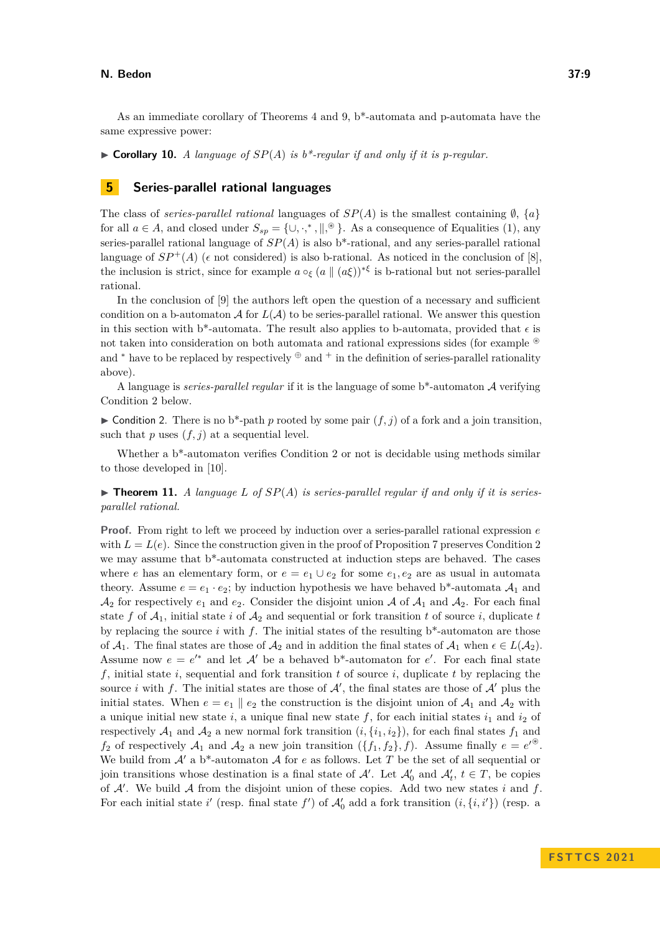As an immediate corollary of Theorems [4](#page-5-1) and [9,](#page-7-1) b\*-automata and p-automata have the same expressive power:

 $\triangleright$  **Corollary 10.** *A language of*  $SP(A)$  *is b\*-regular if and only if it is p-regular.* 

# **5 Series-parallel rational languages**

The class of *series-parallel rational* languages of  $SP(A)$  is the smallest containing  $\emptyset$ ,  $\{a\}$ for all  $a \in A$ , and closed under  $S_{sp} = \{ \cup, \cdot,^*, \parallel, ^\circledast \}$ . As a consequence of Equalities [\(1\)](#page-2-0), any series-parallel rational language of *SP*(*A*) is also b\*-rational, and any series-parallel rational language of  $SP^+(A)$  ( $\epsilon$  not considered) is also b-rational. As noticed in the conclusion of [\[8\]](#page-12-1), the inclusion is strict, since for example  $a \circ_{\xi} (a \parallel (a \xi))^{*\xi}$  is b-rational but not series-parallel rational.

In the conclusion of [\[9\]](#page-12-2) the authors left open the question of a necessary and sufficient condition on a b-automaton  $\mathcal A$  for  $L(\mathcal A)$  to be series-parallel rational. We answer this question in this section with b<sup>\*</sup>-automata. The result also applies to b-automata, provided that  $\epsilon$  is not taken into consideration on both automata and rational expressions sides (for example <sup>⊛</sup> and  $*$  have to be replaced by respectively  $\oplus$  and  $*$  in the definition of series-parallel rationality above).

A language is *series-parallel regular* if it is the language of some b\*-automaton A verifying Condition [2](#page-8-0) below.

<span id="page-8-0"></span> $\triangleright$  Condition 2. There is no b<sup>\*</sup>-path *p* rooted by some pair  $(f, j)$  of a fork and a join transition, such that  $p$  uses  $(f, j)$  at a sequential level.

Whether a b\*-automaton verifies Condition [2](#page-8-0) or not is decidable using methods similar to those developed in [\[10\]](#page-12-3).

<span id="page-8-1"></span> $\blacktriangleright$  **Theorem 11.** *A language L of*  $SP(A)$  *is series-parallel regular if and only if it is seriesparallel rational.*

**Proof.** From right to left we proceed by induction over a series-parallel rational expression *e* with  $L = L(e)$ . Since the construction given in the proof of Proposition [7](#page-6-0) preserves Condition [2](#page-8-0) we may assume that b\*-automata constructed at induction steps are behaved. The cases where *e* has an elementary form, or  $e = e_1 \cup e_2$  for some  $e_1, e_2$  are as usual in automata theory. Assume  $e = e_1 \cdot e_2$ ; by induction hypothesis we have behaved b<sup>\*</sup>-automata  $A_1$  and  $\mathcal{A}_2$  for respectively  $e_1$  and  $e_2$ . Consider the disjoint union  $\mathcal A$  of  $\mathcal A_1$  and  $\mathcal A_2$ . For each final state *f* of  $A_1$ , initial state *i* of  $A_2$  and sequential or fork transition *t* of source *i*, duplicate *t* by replacing the source  $i$  with  $f$ . The initial states of the resulting  $b^*$ -automaton are those of  $A_1$ . The final states are those of  $A_2$  and in addition the final states of  $A_1$  when  $\epsilon \in L(A_2)$ . Assume now  $e = e^{i*}$  and let  $\mathcal{A}'$  be a behaved b<sup>\*</sup>-automaton for  $e'$ . For each final state *f*, initial state *i*, sequential and fork transition *t* of source *i*, duplicate *t* by replacing the source *i* with f. The initial states are those of  $A'$ , the final states are those of  $A'$  plus the initial states. When  $e = e_1 \parallel e_2$  the construction is the disjoint union of  $A_1$  and  $A_2$  with a unique initial new state *i*, a unique final new state  $f$ , for each initial states  $i_1$  and  $i_2$  of respectively  $A_1$  and  $A_2$  a new normal fork transition  $(i, \{i_1, i_2\})$ , for each final states  $f_1$  and *f*<sub>2</sub> of respectively  $A_1$  and  $A_2$  a new join transition  $(\{f_1, f_2\}, f)$ . Assume finally  $e = e^{i\Theta}$ . We build from  $A'$  a b<sup>\*</sup>-automaton A for *e* as follows. Let T be the set of all sequential or join transitions whose destination is a final state of  $\mathcal{A}'$ . Let  $\mathcal{A}'_0$  and  $\mathcal{A}'_t$ ,  $t \in T$ , be copies of A′ . We build A from the disjoint union of these copies. Add two new states *i* and *f*. For each initial state *i*' (resp. final state  $f'$ ) of  $\mathcal{A}'_0$  add a fork transition  $(i, \{i, i'\})$  (resp. a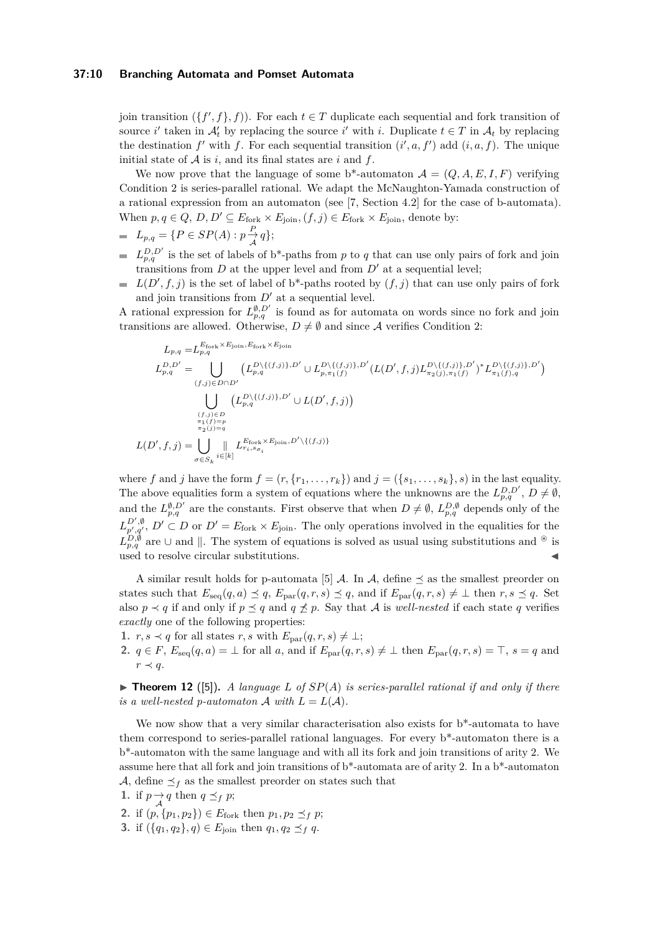## **37:10 Branching Automata and Pomset Automata**

join transition  $({f', f}, f)$ ). For each  $t \in T$  duplicate each sequential and fork transition of source *i*' taken in  $A'_t$  by replacing the source *i*' with *i*. Duplicate  $t \in T$  in  $A_t$  by replacing the destination  $f'$  with  $f$ . For each sequential transition  $(i', a, f')$  add  $(i, a, f)$ . The unique initial state of  $A$  is  $i$ , and its final states are  $i$  and  $f$ .

We now prove that the language of some b<sup>\*</sup>-automaton  $\mathcal{A} = (Q, A, E, I, F)$  verifying Condition [2](#page-8-0) is series-parallel rational. We adapt the McNaughton-Yamada construction of a rational expression from an automaton (see [\[7,](#page-12-0) Section 4.2] for the case of b-automata). When  $p, q \in Q$ ,  $D, D' \subseteq E_{\text{fork}} \times E_{\text{join}}$ ,  $(f, j) \in E_{\text{fork}} \times E_{\text{join}}$ , denote by:

- $L_{p,q} = \{ P \in SP(A) : p \frac{P}{A} q \};$
- $L_{p,q}^{D,D'}$  is the set of labels of b<sup>\*</sup>-paths from *p* to *q* that can use only pairs of fork and join transitions from  $D$  at the upper level and from  $D'$  at a sequential level;
- $L(D', f, j)$  is the set of label of b<sup>\*</sup>-paths rooted by  $(f, j)$  that can use only pairs of fork  $\equiv$ and join transitions from  $D'$  at a sequential level.

A rational expression for  $L_{p,q}^{\emptyset,D'}$  is found as for automata on words since no fork and join transitions are allowed. Otherwise,  $D \neq \emptyset$  and since A verifies Condition [2:](#page-8-0)

$$
L_{p,q} = L_{p,q}^{E_{\text{fork}} \times E_{\text{join}} E_{\text{fork}} \times E_{\text{join}}}
$$
\n
$$
L_{p,q}^{D,D'} = \bigcup_{(f,j) \in D \cap D'} \left( L_{p,q}^{D \setminus \{(f,j)\}, D'} \cup L_{p,\pi_1(f)}^{D \setminus \{(f,j)\}, D'} (L(D', f, j) L_{\pi_2(j), \pi_1(f)}^{D \setminus \{(f,j)\}, D'})^* L_{\pi_1(f), q}^{D \setminus \{(f,j)\}, D'} \right)
$$
\n
$$
\bigcup_{\substack{(f,j) \in D \\ \pi_1(f) = p \\ \pi_2(j) = q \\ \pi_2(j) = q}} \left( L_{p,q}^{D \setminus \{(f,j)\}, D'} \cup L(D', f, j) \right)
$$
\n
$$
L(D', f, j) = \bigcup_{\sigma \in S_k} \bigcup_{i \in [k]} L_{r_i, s_{\sigma_i}}^{E_{\text{fork}} \times E_{\text{join}}, D' \setminus \{(f,j)\}}
$$

where *f* and *j* have the form  $f = (r, \{r_1, \ldots, r_k\})$  and  $j = (\{s_1, \ldots, s_k\}, s)$  in the last equality. The above equalities form a system of equations where the unknowns are the  $L_{p,q}^{D,D'}$ ,  $D \neq \emptyset$ , and the  $L_{p,q}^{\emptyset,D'}$  are the constants. First observe that when  $D \neq \emptyset$ ,  $L_{p,q}^{D,\emptyset}$  depends only of the  $L_{p',q'}^{D',\emptyset}$ ,  $D' \subset D$  or  $D' = E_{\text{fork}} \times E_{\text{join}}$ . The only operations involved in the equalities for the  $L_{p,q}^{\overline{D},\emptyset}$  are  $\cup$  and  $\|$ . The system of equations is solved as usual using substitutions and <sup>⊛</sup> is used to resolve circular substitutions.

A similar result holds for p-automata [\[5\]](#page-12-4)  $\mathcal A$ . In  $\mathcal A$ , define  $\preceq$  as the smallest preorder on states such that  $E_{\text{seq}}(q, a) \preceq q$ ,  $E_{\text{par}}(q, r, s) \preceq q$ , and if  $E_{\text{par}}(q, r, s) \neq \bot$  then  $r, s \preceq q$ . Set also  $p \prec q$  if and only if  $p \leq q$  and  $q \not\preceq p$ . Say that A is *well-nested* if each state q verifies *exactly* one of the following properties:

- 1.  $r, s \prec q$  for all states  $r, s$  with  $E_{\text{par}}(q, r, s) \neq \bot;$
- 2.  $q \in F$ ,  $E_{\text{seq}}(q, a) = \perp$  for all *a*, and if  $E_{\text{par}}(q, r, s) \neq \perp$  then  $E_{\text{par}}(q, r, s) = \top$ ,  $s = q$  and  $r \prec q$ .

 $\blacktriangleright$  **Theorem 12** ([\[5\]](#page-12-4)), A language L of  $SP(A)$  is series-parallel rational if and only if there *is a well-nested p-automaton*  $\mathcal{A}$  *with*  $L = L(\mathcal{A})$ *.* 

We now show that a very similar characterisation also exists for  $b^*$ -automata to have them correspond to series-parallel rational languages. For every b\*-automaton there is a b\*-automaton with the same language and with all its fork and join transitions of arity 2. We assume here that all fork and join transitions of  $b^*$ -automata are of arity 2. In a  $b^*$ -automaton A, define  $\preceq_f$  as the smallest preorder on states such that

<span id="page-9-0"></span>1. if 
$$
p \rightarrow q
$$
 then  $q \preceq_f p$ ;

2. if  $(p, \{p_1, p_2\}) \in E_{\text{fork}}$  then  $p_1, p_2 \preceq_f p$ ;

**3.** if  $({q_1, q_2}, q) \in E_{\text{join}}$  then  $q_1, q_2 \preceq_f q$ .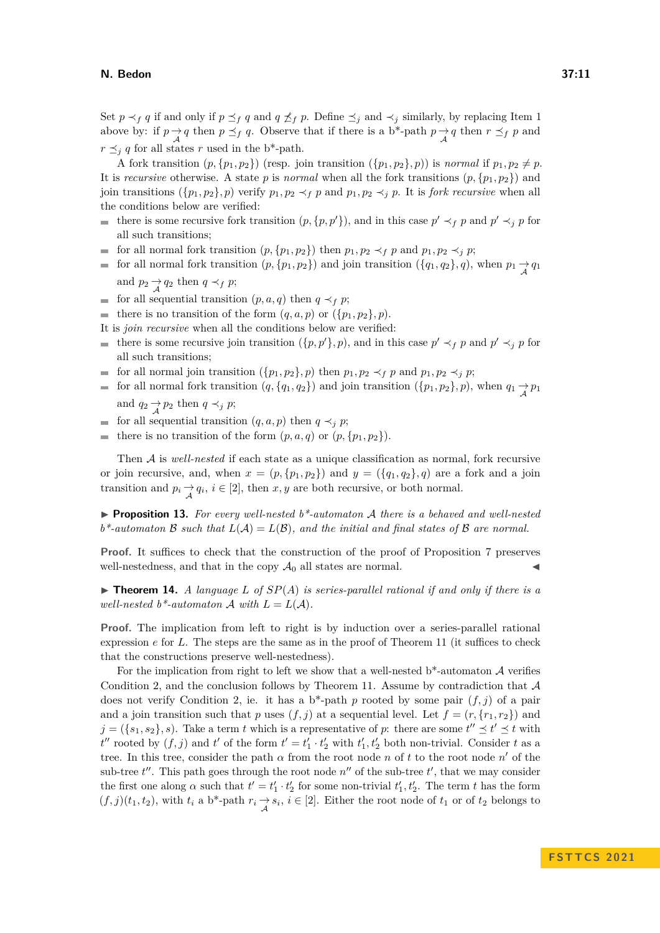Set  $p \prec_f q$  if and only if  $p \preceq_f q$  and  $q \npreceq_f p$ . Define  $\preceq_j$  and  $\prec_j$  similarly, by replacing Item [1](#page-9-0) above by: if  $p \rightarrow q$  then  $p \leq_f q$ . Observe that if there is a b\*-path  $p \rightarrow q$  then  $r \leq_f p$  and  $r \preceq_i q$  for all states *r* used in the b\*-path.

A fork transition  $(p, \{p_1, p_2\})$  (resp. join transition  $(\{p_1, p_2\}, p)$ ) is *normal* if  $p_1, p_2 \neq p$ . It is *recursive* otherwise. A state *p* is *normal* when all the fork transitions  $(p, \{p_1, p_2\})$  and join transitions  $({p_1, p_2}, p)$  verify  $p_1, p_2 \prec_f p$  and  $p_1, p_2 \prec_f p$ . It is *fork recursive* when all the conditions below are verified:

- there is some recursive fork transition  $(p, \{p, p'\})$ , and in this case  $p' \prec_f p$  and  $p' \prec_f p$  for all such transitions;
- for all normal fork transition  $(p, \{p_1, p_2\})$  then  $p_1, p_2 \prec_f p$  and  $p_1, p_2 \prec_f p$ ;
- for all normal fork transition  $(p, \{p_1, p_2\})$  and join transition  $(\{q_1, q_2\}, q)$ , when  $p_1 \rightarrow q_1$ and  $p_2 \underset{\mathcal{A}}{\rightarrow} q_2$  then  $q \prec_f p$ ;
- for all sequential transition  $(p, a, q)$  then  $q \prec_f p$ ;
- there is no transition of the form  $(q, a, p)$  or  $({p_1, p_2}, p)$ .  $\sim$
- It is *join recursive* when all the conditions below are verified:
- there is some recursive join transition  $({p, p', p})$ , and in this case  $p' \prec_f p$  and  $p' \prec_f p$  for all such transitions;
- for all normal join transition  $({p_1, p_2}, p)$  then  $p_1, p_2 \prec_f p$  and  $p_1, p_2 \prec_f p$ ;
- for all normal fork transition  $(q, \{q_1, q_2\})$  and join transition  $(\{p_1, p_2\}, p)$ , when  $q_1 \rightarrow p_1$ and  $q_2 \rightarrow p_2$  then  $q \prec_j p$ ;
- for all sequential transition  $(q, a, p)$  then  $q \prec_i p$ ;
- there is no transition of the form  $(p, a, q)$  or  $(p, \{p_1, p_2\})$ .  $\sim$

Then A is *well-nested* if each state as a unique classification as normal, fork recursive or join recursive, and, when  $x = (p, \{p_1, p_2\})$  and  $y = (\{q_1, q_2\}, q)$  are a fork and a join transition and  $p_i \rightarrow q_i$ ,  $i \in [2]$ , then  $x, y$  are both recursive, or both normal.

▶ **Proposition 13.** *For every well-nested b\*-automaton* A *there is a behaved and well-nested*  $b^*$ -automaton B such that  $L(A) = L(B)$ *, and the initial and final states of* B are normal.

**Proof.** It suffices to check that the construction of the proof of Proposition [7](#page-6-0) preserves well-nestedness, and that in the copy  $\mathcal{A}_0$  all states are normal.

<span id="page-10-0"></span> $\blacktriangleright$  **Theorem 14.** *A language L of*  $SP(A)$  *is series-parallel rational if and only if there is a well-nested b\*-automaton*  $A$  *with*  $L = L(A)$ *.* 

**Proof.** The implication from left to right is by induction over a series-parallel rational expression *e* for *L*. The steps are the same as in the proof of Theorem [11](#page-8-1) (it suffices to check that the constructions preserve well-nestedness).

For the implication from right to left we show that a well-nested  $b^*$ -automaton A verifies Condition [2,](#page-8-0) and the conclusion follows by Theorem [11.](#page-8-1) Assume by contradiction that  $\mathcal A$ does not verify Condition [2,](#page-8-0) ie. it has a b<sup>\*</sup>-path  $p$  rooted by some pair  $(f, j)$  of a pair and a join transition such that *p* uses  $(f, j)$  at a sequential level. Let  $f = (r, \{r_1, r_2\})$  and  $j = (\{s_1, s_2\}, s)$ . Take a term *t* which is a representative of *p*: there are some  $t'' \leq t' \leq t$  with  $t''$  rooted by  $(f, j)$  and  $t'$  of the form  $t' = t'_1 \cdot t'_2$  with  $t'_1, t'_2$  both non-trivial. Consider *t* as a tree. In this tree, consider the path  $\alpha$  from the root node *n* of *t* to the root node *n'* of the sub-tree  $t''$ . This path goes through the root node  $n''$  of the sub-tree  $t'$ , that we may consider the first one along  $\alpha$  such that  $t' = t'_1 \cdot t'_2$  for some non-trivial  $t'_1, t'_2$ . The term *t* has the form  $(f, j)(t_1, t_2)$ , with  $t_i$  a b\*-path  $r_i \rightarrow s_i$ ,  $i \in [2]$ . Either the root node of  $t_1$  or of  $t_2$  belongs to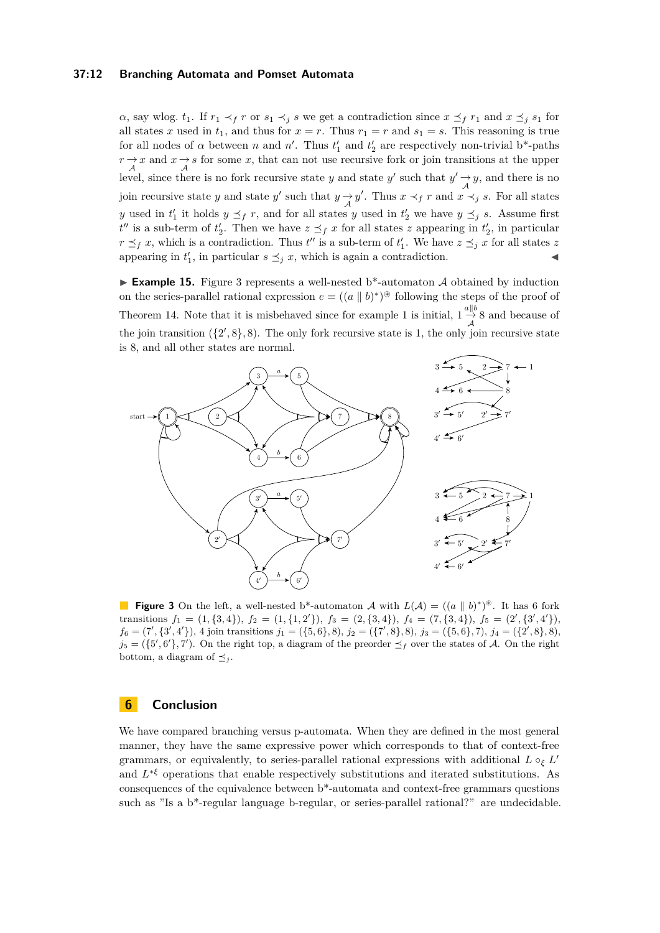## **37:12 Branching Automata and Pomset Automata**

 $\alpha$ , say wlog.  $t_1$ . If  $r_1 \prec_f r$  or  $s_1 \prec_i s$  we get a contradiction since  $x \preceq_f r_1$  and  $x \preceq_i s_1$  for all states *x* used in  $t_1$ , and thus for  $x = r$ . Thus  $r_1 = r$  and  $s_1 = s$ . This reasoning is true for all nodes of  $\alpha$  between  $n$  and  $n'$ . Thus  $t'_1$  and  $t'_2$  are respectively non-trivial b\*-paths  $r \rightarrow x$  and  $x \rightarrow s$  for some *x*, that can not use recursive fork or join transitions at the upper level, since there is no fork recursive state *y* and state *y'* such that  $y' \rightarrow y$ , and there is no join recursive state *y* and state *y'* such that  $y \rightarrow y'$ . Thus  $x \prec_f r$  and  $x \prec_j s$ . For all states *y* used in  $t'_1$  it holds  $y \leq_f r$ , and for all states *y* used in  $t'_2$  we have  $y \leq_f s$ . Assume first  $t''$  is a sub-term of  $t'_2$ . Then we have  $z \preceq_f x$  for all states *z* appearing in  $t'_2$ , in particular  $r \leq_f r$ , which is a contradiction. Thus *t*'' is a sub-term of  $t'_1$ . We have  $z \leq_f r$  for all states *z* appearing in  $t'_1$ , in particular  $s \leq_j x$ , which is again a contradiction.

**Example 15.** Figure [3](#page-11-0) represents a well-nested b\*-automaton  $\mathcal A$  obtained by induction on the series-parallel rational expression  $e = ((a \parallel b)^*)^{\circledast}$  following the steps of the proof of Theorem [14.](#page-10-0) Note that it is misbehaved since for example 1 is initial,  $1 \frac{a||b}{\lambda} 8$  and because of the join transition  $({2, 8}, 8)$ . The only fork recursive state is 1, the only join recursive state is 8, and all other states are normal.

<span id="page-11-0"></span>

**Figure 3** On the left, a well-nested b<sup>\*</sup>-automaton A with  $L(\mathcal{A}) = ((a \parallel b)^*)^*$ . It has 6 fork transitions  $f_1 = (1, {3, 4})$ ,  $f_2 = (1, {1, 2'})$ ,  $f_3 = (2, {3, 4})$ ,  $f_4 = (7, {3, 4})$ ,  $f_5 = (2', {3', 4'})$ ,  $f_6 = (7', {3', 4'})$ , 4 join transitions  $j_1 = ({5, 6}, 8)$ ,  $j_2 = ({7', 8}, 8)$ ,  $j_3 = ({5, 6}, 7)$ ,  $j_4 = ({2', 8}, 8)$ ,  $j_5 = (\{5', 6'\}, 7')$ . On the right top, a diagram of the preorder  $\preceq_f$  over the states of A. On the right bottom, a diagram of  $\preceq_j$ .

# **6 Conclusion**

We have compared branching versus p-automata. When they are defined in the most general manner, they have the same expressive power which corresponds to that of context-free grammars, or equivalently, to series-parallel rational expressions with additional  $L \circ_{\xi} L'$ and  $L^{*ξ}$  operations that enable respectively substitutions and iterated substitutions. As consequences of the equivalence between b\*-automata and context-free grammars questions such as "Is a  $b^*$ -regular language b-regular, or series-parallel rational?" are undecidable.